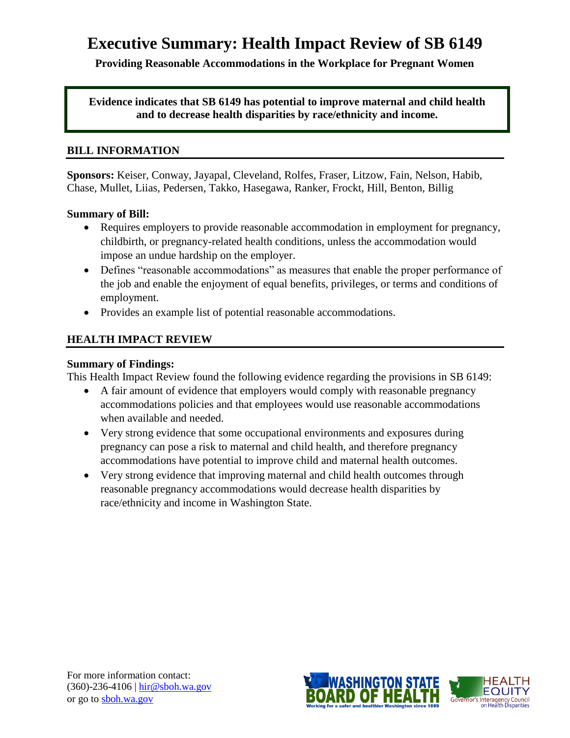# **Executive Summary: Health Impact Review of SB 6149**

**Providing Reasonable Accommodations in the Workplace for Pregnant Women**

**Evidence indicates that SB 6149 has potential to improve maternal and child health and to decrease health disparities by race/ethnicity and income.**

#### **BILL INFORMATION**

**Sponsors:** Keiser, Conway, Jayapal, Cleveland, Rolfes, Fraser, Litzow, Fain, Nelson, Habib, Chase, Mullet, Liias, Pedersen, Takko, Hasegawa, Ranker, Frockt, Hill, Benton, Billig

### **Summary of Bill:**

- Requires employers to provide reasonable accommodation in employment for pregnancy, childbirth, or pregnancy-related health conditions, unless the accommodation would impose an undue hardship on the employer.
- Defines "reasonable accommodations" as measures that enable the proper performance of the job and enable the enjoyment of equal benefits, privileges, or terms and conditions of employment.
- Provides an example list of potential reasonable accommodations.

# **HEALTH IMPACT REVIEW**

#### **Summary of Findings:**

This Health Impact Review found the following evidence regarding the provisions in SB 6149:

- A fair amount of evidence that employers would comply with reasonable pregnancy accommodations policies and that employees would use reasonable accommodations when available and needed.
- Very strong evidence that some occupational environments and exposures during pregnancy can pose a risk to maternal and child health, and therefore pregnancy accommodations have potential to improve child and maternal health outcomes.
- Very strong evidence that improving maternal and child health outcomes through reasonable pregnancy accommodations would decrease health disparities by race/ethnicity and income in Washington State.

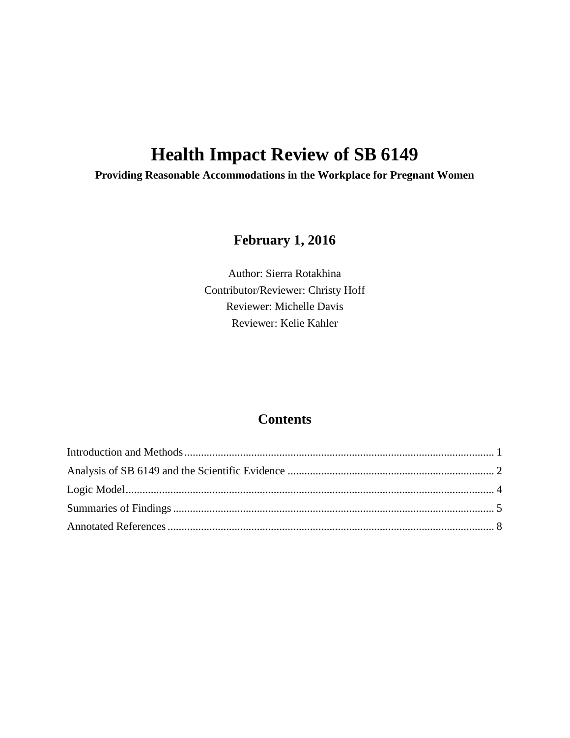# **Health Impact Review of SB 6149**

**Providing Reasonable Accommodations in the Workplace for Pregnant Women**

# **February 1, 2016**

Author: Sierra Rotakhina Contributor/Reviewer: Christy Hoff Reviewer: Michelle Davis Reviewer: Kelie Kahler

# **Contents**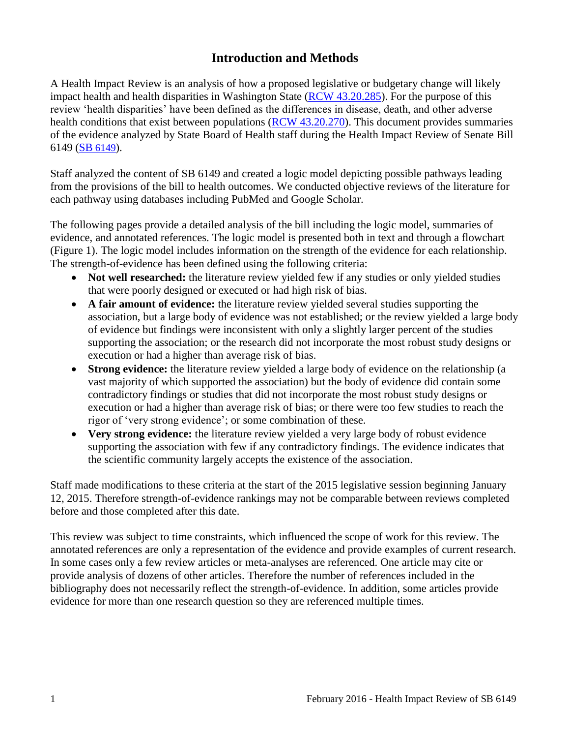# **Introduction and Methods**

<span id="page-2-0"></span>A Health Impact Review is an analysis of how a proposed legislative or budgetary change will likely impact health and health disparities in Washington State [\(RCW 43.20.285\)](http://apps.leg.wa.gov/rcw/default.aspx?cite=43.20.285). For the purpose of this review 'health disparities' have been defined as the differences in disease, death, and other adverse health conditions that exist between populations [\(RCW 43.20.270\)](http://apps.leg.wa.gov/rcw/default.aspx?cite=43.20.270). This document provides summaries of the evidence analyzed by State Board of Health staff during the Health Impact Review of Senate Bill 6149 (SB [6149](http://app.leg.wa.gov/billinfo/summary.aspx?bill=6149&year=2015)).

Staff analyzed the content of SB 6149 and created a logic model depicting possible pathways leading from the provisions of the bill to health outcomes. We conducted objective reviews of the literature for each pathway using databases including PubMed and Google Scholar.

The following pages provide a detailed analysis of the bill including the logic model, summaries of evidence, and annotated references. The logic model is presented both in text and through a flowchart (Figure 1). The logic model includes information on the strength of the evidence for each relationship. The strength-of-evidence has been defined using the following criteria:

- Not well researched: the literature review yielded few if any studies or only yielded studies that were poorly designed or executed or had high risk of bias.
- **A fair amount of evidence:** the literature review yielded several studies supporting the association, but a large body of evidence was not established; or the review yielded a large body of evidence but findings were inconsistent with only a slightly larger percent of the studies supporting the association; or the research did not incorporate the most robust study designs or execution or had a higher than average risk of bias.
- **Strong evidence:** the literature review yielded a large body of evidence on the relationship (a vast majority of which supported the association) but the body of evidence did contain some contradictory findings or studies that did not incorporate the most robust study designs or execution or had a higher than average risk of bias; or there were too few studies to reach the rigor of 'very strong evidence'; or some combination of these.
- **Very strong evidence:** the literature review yielded a very large body of robust evidence supporting the association with few if any contradictory findings. The evidence indicates that the scientific community largely accepts the existence of the association.

Staff made modifications to these criteria at the start of the 2015 legislative session beginning January 12, 2015. Therefore strength-of-evidence rankings may not be comparable between reviews completed before and those completed after this date.

This review was subject to time constraints, which influenced the scope of work for this review. The annotated references are only a representation of the evidence and provide examples of current research. In some cases only a few review articles or meta-analyses are referenced. One article may cite or provide analysis of dozens of other articles. Therefore the number of references included in the bibliography does not necessarily reflect the strength-of-evidence. In addition, some articles provide evidence for more than one research question so they are referenced multiple times.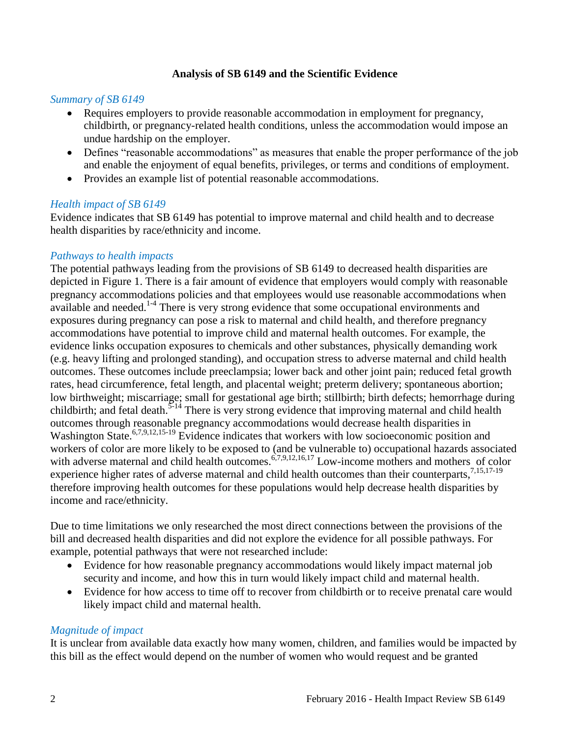# **Analysis of SB 6149 and the Scientific Evidence**

#### <span id="page-3-0"></span>*Summary of SB 6149*

- Requires employers to provide reasonable accommodation in employment for pregnancy, childbirth, or pregnancy-related health conditions, unless the accommodation would impose an undue hardship on the employer.
- Defines "reasonable accommodations" as measures that enable the proper performance of the job and enable the enjoyment of equal benefits, privileges, or terms and conditions of employment.
- Provides an example list of potential reasonable accommodations.

#### *Health impact of SB 6149*

Evidence indicates that SB 6149 has potential to improve maternal and child health and to decrease health disparities by race/ethnicity and income.

### *Pathways to health impacts*

The potential pathways leading from the provisions of SB 6149 to decreased health disparities are depicted in Figure 1. There is a fair amount of evidence that employers would comply with reasonable pregnancy accommodations policies and that employees would use reasonable accommodations when available and needed. $1-4$  There is very strong evidence that some occupational environments and exposures during pregnancy can pose a risk to maternal and child health, and therefore pregnancy accommodations have potential to improve child and maternal health outcomes. For example, the evidence links occupation exposures to chemicals and other substances, physically demanding work (e.g. heavy lifting and prolonged standing), and occupation stress to adverse maternal and child health outcomes. These outcomes include preeclampsia; lower back and other joint pain; reduced fetal growth rates, head circumference, fetal length, and placental weight; preterm delivery; spontaneous abortion; low birthweight; miscarriage; small for gestational age birth; stillbirth; birth defects; hemorrhage during childbirth; and fetal death.<sup>[5-14](#page-10-0)</sup> There is very strong evidence that improving maternal and child health outcomes through reasonable pregnancy accommodations would decrease health disparities in Washington State.<sup>[6](#page-11-0)[,7](#page-11-1)[,9](#page-12-0)[,12](#page-14-0)[,15-19](#page-15-0)</sup> Evidence indicates that workers with low socioeconomic position and workers of color are more likely to be exposed to (and be vulnerable to) occupational hazards associated with adverse maternal and child health outcomes.<sup>[6,](#page-11-0)[7,](#page-11-1)[9,](#page-12-0)[12,](#page-14-0)[16,](#page-15-1)[17](#page-16-0)</sup> Low-income mothers and mothers of color experience higher rates of adverse maternal and child health outcomes than their counterparts.<sup>[7,](#page-11-1)[15,](#page-15-0)[17-19](#page-16-0)</sup> therefore improving health outcomes for these populations would help decrease health disparities by income and race/ethnicity.

Due to time limitations we only researched the most direct connections between the provisions of the bill and decreased health disparities and did not explore the evidence for all possible pathways. For example, potential pathways that were not researched include:

- Evidence for how reasonable pregnancy accommodations would likely impact maternal job security and income, and how this in turn would likely impact child and maternal health.
- Evidence for how access to time off to recover from childbirth or to receive prenatal care would likely impact child and maternal health.

#### *Magnitude of impact*

It is unclear from available data exactly how many women, children, and families would be impacted by this bill as the effect would depend on the number of women who would request and be granted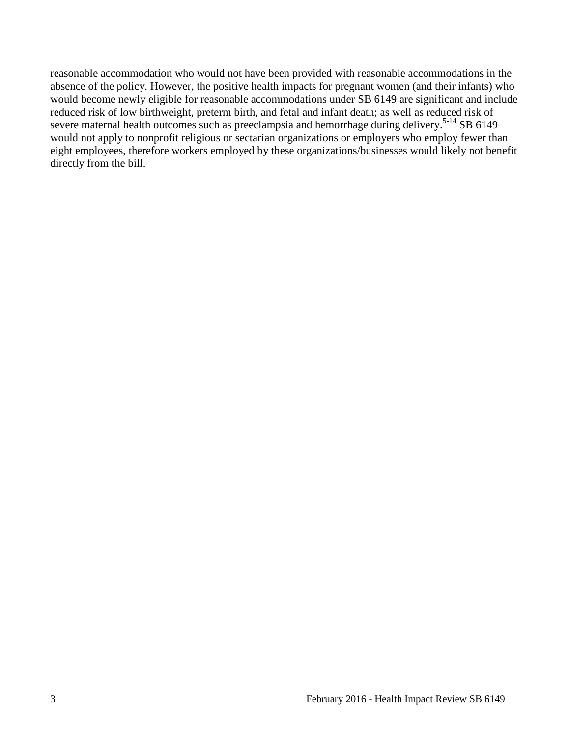reasonable accommodation who would not have been provided with reasonable accommodations in the absence of the policy. However, the positive health impacts for pregnant women (and their infants) who would become newly eligible for reasonable accommodations under SB 6149 are significant and include reduced risk of low birthweight, preterm birth, and fetal and infant death; as well as reduced risk of severe maternal health outcomes such as preeclampsia and hemorrhage during delivery.<sup>[5-14](#page-10-0)</sup> SB 6149 would not apply to nonprofit religious or sectarian organizations or employers who employ fewer than eight employees, therefore workers employed by these organizations/businesses would likely not benefit directly from the bill.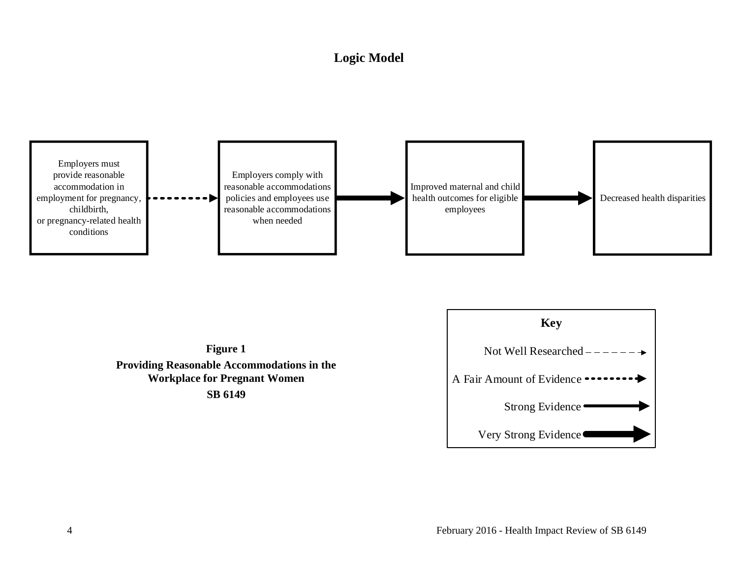# **Logic Model**

<span id="page-5-0"></span>





**SB 6149**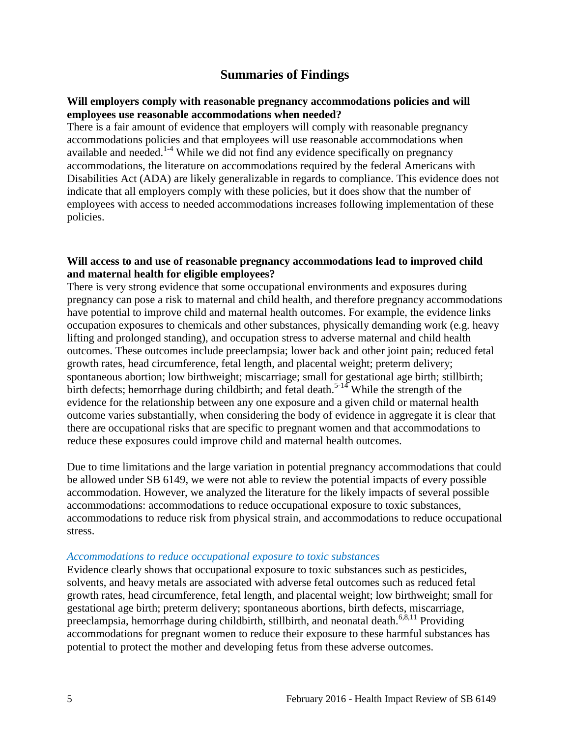# **Summaries of Findings**

#### <span id="page-6-0"></span>**Will employers comply with reasonable pregnancy accommodations policies and will employees use reasonable accommodations when needed?**

There is a fair amount of evidence that employers will comply with reasonable pregnancy accommodations policies and that employees will use reasonable accommodations when available and needed.<sup>[1-4](#page-9-1)</sup> While we did not find any evidence specifically on pregnancy accommodations, the literature on accommodations required by the federal Americans with Disabilities Act (ADA) are likely generalizable in regards to compliance. This evidence does not indicate that all employers comply with these policies, but it does show that the number of employees with access to needed accommodations increases following implementation of these policies.

#### **Will access to and use of reasonable pregnancy accommodations lead to improved child and maternal health for eligible employees?**

There is very strong evidence that some occupational environments and exposures during pregnancy can pose a risk to maternal and child health, and therefore pregnancy accommodations have potential to improve child and maternal health outcomes. For example, the evidence links occupation exposures to chemicals and other substances, physically demanding work (e.g. heavy lifting and prolonged standing), and occupation stress to adverse maternal and child health outcomes. These outcomes include preeclampsia; lower back and other joint pain; reduced fetal growth rates, head circumference, fetal length, and placental weight; preterm delivery; spontaneous abortion; low birthweight; miscarriage; small for gestational age birth; stillbirth; birth defects; hemorrhage during childbirth; and fetal death.<sup>[5-14](#page-10-0)</sup> While the strength of the evidence for the relationship between any one exposure and a given child or maternal health outcome varies substantially, when considering the body of evidence in aggregate it is clear that there are occupational risks that are specific to pregnant women and that accommodations to reduce these exposures could improve child and maternal health outcomes.

Due to time limitations and the large variation in potential pregnancy accommodations that could be allowed under SB 6149, we were not able to review the potential impacts of every possible accommodation. However, we analyzed the literature for the likely impacts of several possible accommodations: accommodations to reduce occupational exposure to toxic substances, accommodations to reduce risk from physical strain, and accommodations to reduce occupational stress.

#### *Accommodations to reduce occupational exposure to toxic substances*

Evidence clearly shows that occupational exposure to toxic substances such as pesticides, solvents, and heavy metals are associated with adverse fetal outcomes such as reduced fetal growth rates, head circumference, fetal length, and placental weight; low birthweight; small for gestational age birth; preterm delivery; spontaneous abortions, birth defects, miscarriage, preeclampsia, hemorrhage during childbirth, stillbirth, and neonatal death.<sup>[6](#page-11-0)[,8](#page-12-1)[,11](#page-13-0)</sup> Providing accommodations for pregnant women to reduce their exposure to these harmful substances has potential to protect the mother and developing fetus from these adverse outcomes.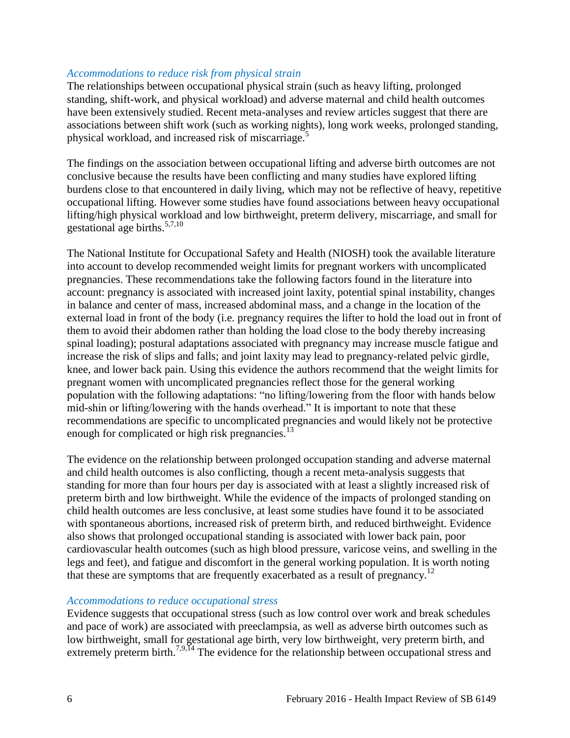#### *Accommodations to reduce risk from physical strain*

The relationships between occupational physical strain (such as heavy lifting, prolonged standing, shift-work, and physical workload) and adverse maternal and child health outcomes have been extensively studied. Recent meta-analyses and review articles suggest that there are associations between shift work (such as working nights), long work weeks, prolonged standing, physical workload, and increased risk of miscarriage.<sup>[5](#page-10-0)</sup>

The findings on the association between occupational lifting and adverse birth outcomes are not conclusive because the results have been conflicting and many studies have explored lifting burdens close to that encountered in daily living, which may not be reflective of heavy, repetitive occupational lifting. However some studies have found associations between heavy occupational lifting/high physical workload and low birthweight, preterm delivery, miscarriage, and small for gestational age births.[5,](#page-10-0)[7](#page-11-1)[,10](#page-13-1)

The National Institute for Occupational Safety and Health (NIOSH) took the available literature into account to develop recommended weight limits for pregnant workers with uncomplicated pregnancies. These recommendations take the following factors found in the literature into account: pregnancy is associated with increased joint laxity, potential spinal instability, changes in balance and center of mass, increased abdominal mass, and a change in the location of the external load in front of the body (i.e. pregnancy requires the lifter to hold the load out in front of them to avoid their abdomen rather than holding the load close to the body thereby increasing spinal loading); postural adaptations associated with pregnancy may increase muscle fatigue and increase the risk of slips and falls; and joint laxity may lead to pregnancy-related pelvic girdle, knee, and lower back pain. Using this evidence the authors recommend that the weight limits for pregnant women with uncomplicated pregnancies reflect those for the general working population with the following adaptations: "no lifting/lowering from the floor with hands below mid-shin or lifting/lowering with the hands overhead." It is important to note that these recommendations are specific to uncomplicated pregnancies and would likely not be protective enough for complicated or high risk pregnancies.<sup>[13](#page-14-1)</sup>

The evidence on the relationship between prolonged occupation standing and adverse maternal and child health outcomes is also conflicting, though a recent meta-analysis suggests that standing for more than four hours per day is associated with at least a slightly increased risk of preterm birth and low birthweight. While the evidence of the impacts of prolonged standing on child health outcomes are less conclusive, at least some studies have found it to be associated with spontaneous abortions, increased risk of preterm birth, and reduced birthweight. Evidence also shows that prolonged occupational standing is associated with lower back pain, poor cardiovascular health outcomes (such as high blood pressure, varicose veins, and swelling in the legs and feet), and fatigue and discomfort in the general working population. It is worth noting that these are symptoms that are frequently exacerbated as a result of pregnancy.<sup>[12](#page-14-0)</sup>

#### *Accommodations to reduce occupational stress*

Evidence suggests that occupational stress (such as low control over work and break schedules and pace of work) are associated with preeclampsia, as well as adverse birth outcomes such as low birthweight, small for gestational age birth, very low birthweight, very preterm birth, and extremely preterm birth.<sup>[7,](#page-11-1)[9](#page-12-0)[,14](#page-15-2)</sup> The evidence for the relationship between occupational stress and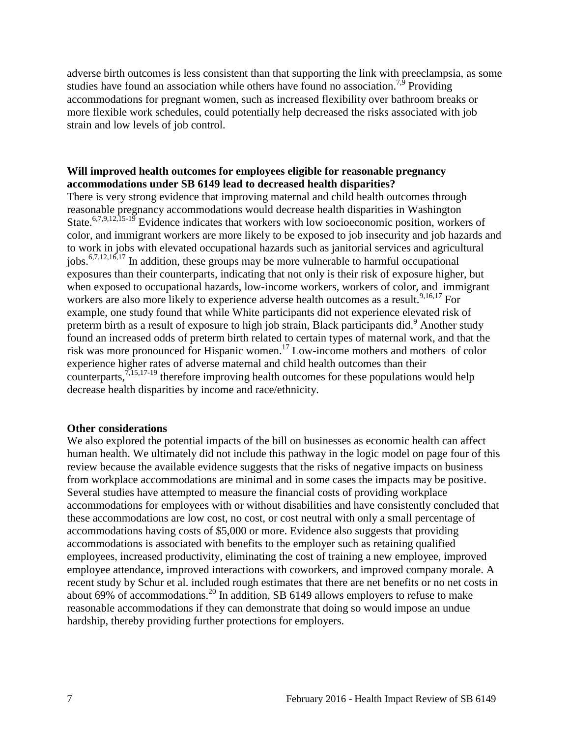adverse birth outcomes is less consistent than that supporting the link with preeclampsia, as some studies have found an association while others have found no association.<sup>[7,](#page-11-1)[9](#page-12-0)</sup> Providing accommodations for pregnant women, such as increased flexibility over bathroom breaks or more flexible work schedules, could potentially help decreased the risks associated with job strain and low levels of job control.

## **Will improved health outcomes for employees eligible for reasonable pregnancy accommodations under SB 6149 lead to decreased health disparities?**

There is very strong evidence that improving maternal and child health outcomes through reasonable pregnancy accommodations would decrease health disparities in Washington State.<sup>[6](#page-11-0)[,7](#page-11-1)[,9](#page-12-0)[,12](#page-14-0)[,15-19](#page-15-0)</sup> Evidence indicates that workers with low socioeconomic position, workers of color, and immigrant workers are more likely to be exposed to job insecurity and job hazards and to work in jobs with elevated occupational hazards such as janitorial services and agricultural jobs.[6](#page-11-0)[,7](#page-11-1)[,12](#page-14-0)[,16](#page-15-1)[,17](#page-16-0) In addition, these groups may be more vulnerable to harmful occupational exposures than their counterparts, indicating that not only is their risk of exposure higher, but when exposed to occupational hazards, low-income workers, workers of color, and immigrant workers are also more likely to experience adverse health outcomes as a result.<sup>[9,](#page-12-0)[16,](#page-15-1)[17](#page-16-0)</sup> For example, one study found that while White participants did not experience elevated risk of preterm birth as a result of exposure to high job strain, Black participants did.<sup>[9](#page-12-0)</sup> Another study found an increased odds of preterm birth related to certain types of maternal work, and that the risk was more pronounced for Hispanic women. [17](#page-16-0) Low-income mothers and mothers of color experience higher rates of adverse maternal and child health outcomes than their counterparts, $7,15,17-19$  $7,15,17-19$  $7,15,17-19$  therefore improving health outcomes for these populations would help decrease health disparities by income and race/ethnicity.

#### **Other considerations**

We also explored the potential impacts of the bill on businesses as economic health can affect human health. We ultimately did not include this pathway in the logic model on page four of this review because the available evidence suggests that the risks of negative impacts on business from workplace accommodations are minimal and in some cases the impacts may be positive. Several studies have attempted to measure the financial costs of providing workplace accommodations for employees with or without disabilities and have consistently concluded that these accommodations are low cost, no cost, or cost neutral with only a small percentage of accommodations having costs of \$5,000 or more. Evidence also suggests that providing accommodations is associated with benefits to the employer such as retaining qualified employees, increased productivity, eliminating the cost of training a new employee, improved employee attendance, improved interactions with coworkers, and improved company morale. A recent study by Schur et al. included rough estimates that there are net benefits or no net costs in about 69% of accommodations.[20](#page-17-0) In addition, SB 6149 allows employers to refuse to make reasonable accommodations if they can demonstrate that doing so would impose an undue hardship, thereby providing further protections for employers.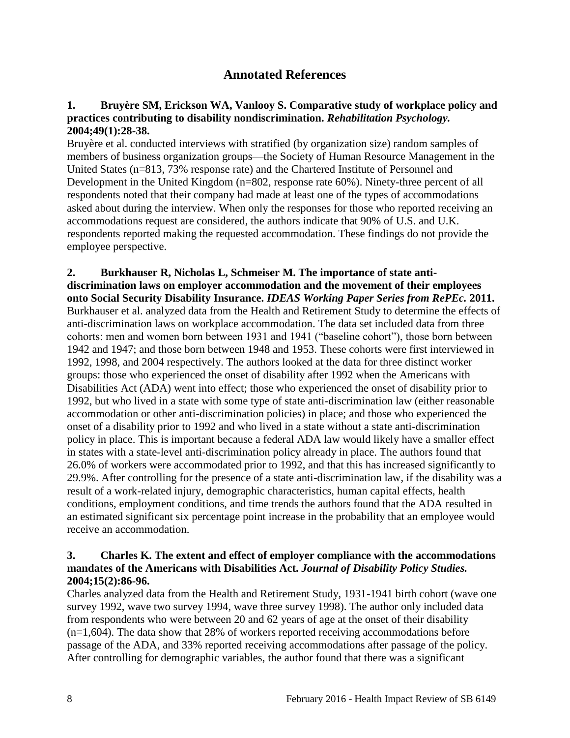# **Annotated References**

#### <span id="page-9-1"></span><span id="page-9-0"></span>**1. Bruyère SM, Erickson WA, Vanlooy S. Comparative study of workplace policy and practices contributing to disability nondiscrimination.** *Rehabilitation Psychology.*  **2004;49(1):28-38.**

Bruyère et al. conducted interviews with stratified (by organization size) random samples of members of business organization groups—the Society of Human Resource Management in the United States (n=813, 73% response rate) and the Chartered Institute of Personnel and Development in the United Kingdom (n=802, response rate 60%). Ninety-three percent of all respondents noted that their company had made at least one of the types of accommodations asked about during the interview. When only the responses for those who reported receiving an accommodations request are considered, the authors indicate that 90% of U.S. and U.K. respondents reported making the requested accommodation. These findings do not provide the employee perspective.

**2. Burkhauser R, Nicholas L, Schmeiser M. The importance of state antidiscrimination laws on employer accommodation and the movement of their employees onto Social Security Disability Insurance.** *IDEAS Working Paper Series from RePEc.* **2011.** Burkhauser et al. analyzed data from the Health and Retirement Study to determine the effects of anti-discrimination laws on workplace accommodation. The data set included data from three cohorts: men and women born between 1931 and 1941 ("baseline cohort"), those born between 1942 and 1947; and those born between 1948 and 1953. These cohorts were first interviewed in 1992, 1998, and 2004 respectively. The authors looked at the data for three distinct worker groups: those who experienced the onset of disability after 1992 when the Americans with Disabilities Act (ADA) went into effect; those who experienced the onset of disability prior to 1992, but who lived in a state with some type of state anti-discrimination law (either reasonable accommodation or other anti-discrimination policies) in place; and those who experienced the onset of a disability prior to 1992 and who lived in a state without a state anti-discrimination policy in place. This is important because a federal ADA law would likely have a smaller effect in states with a state-level anti-discrimination policy already in place. The authors found that 26.0% of workers were accommodated prior to 1992, and that this has increased significantly to 29.9%. After controlling for the presence of a state anti-discrimination law, if the disability was a result of a work-related injury, demographic characteristics, human capital effects, health conditions, employment conditions, and time trends the authors found that the ADA resulted in an estimated significant six percentage point increase in the probability that an employee would receive an accommodation.

## **3. Charles K. The extent and effect of employer compliance with the accommodations mandates of the Americans with Disabilities Act.** *Journal of Disability Policy Studies.*  **2004;15(2):86-96.**

Charles analyzed data from the Health and Retirement Study, 1931-1941 birth cohort (wave one survey 1992, wave two survey 1994, wave three survey 1998). The author only included data from respondents who were between 20 and 62 years of age at the onset of their disability  $(n=1,604)$ . The data show that 28% of workers reported receiving accommodations before passage of the ADA, and 33% reported receiving accommodations after passage of the policy. After controlling for demographic variables, the author found that there was a significant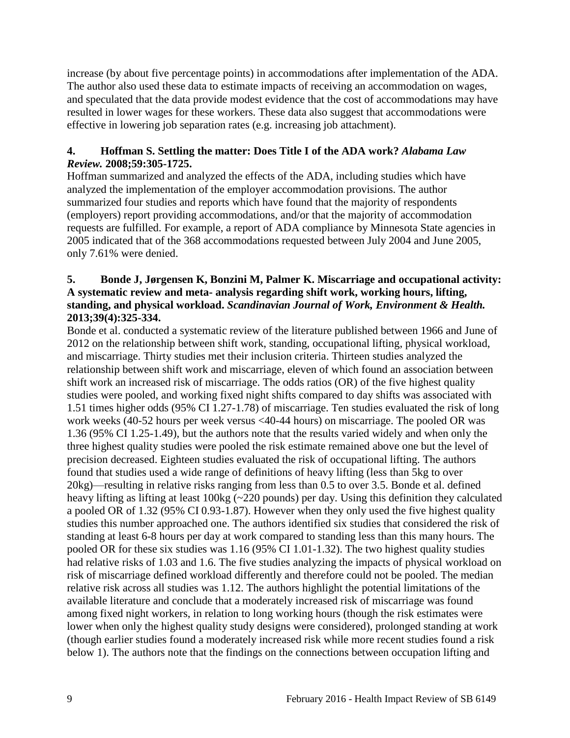increase (by about five percentage points) in accommodations after implementation of the ADA. The author also used these data to estimate impacts of receiving an accommodation on wages, and speculated that the data provide modest evidence that the cost of accommodations may have resulted in lower wages for these workers. These data also suggest that accommodations were effective in lowering job separation rates (e.g. increasing job attachment).

# **4. Hoffman S. Settling the matter: Does Title I of the ADA work?** *Alabama Law Review.* **2008;59:305-1725.**

Hoffman summarized and analyzed the effects of the ADA, including studies which have analyzed the implementation of the employer accommodation provisions. The author summarized four studies and reports which have found that the majority of respondents (employers) report providing accommodations, and/or that the majority of accommodation requests are fulfilled. For example, a report of ADA compliance by Minnesota State agencies in 2005 indicated that of the 368 accommodations requested between July 2004 and June 2005, only 7.61% were denied.

# <span id="page-10-0"></span>**5. Bonde J, Jørgensen K, Bonzini M, Palmer K. Miscarriage and occupational activity: A systematic review and meta- analysis regarding shift work, working hours, lifting, standing, and physical workload.** *Scandinavian Journal of Work, Environment & Health.*  **2013;39(4):325-334.**

Bonde et al. conducted a systematic review of the literature published between 1966 and June of 2012 on the relationship between shift work, standing, occupational lifting, physical workload, and miscarriage. Thirty studies met their inclusion criteria. Thirteen studies analyzed the relationship between shift work and miscarriage, eleven of which found an association between shift work an increased risk of miscarriage. The odds ratios (OR) of the five highest quality studies were pooled, and working fixed night shifts compared to day shifts was associated with 1.51 times higher odds (95% CI 1.27-1.78) of miscarriage. Ten studies evaluated the risk of long work weeks (40-52 hours per week versus <40-44 hours) on miscarriage. The pooled OR was 1.36 (95% CI 1.25-1.49), but the authors note that the results varied widely and when only the three highest quality studies were pooled the risk estimate remained above one but the level of precision decreased. Eighteen studies evaluated the risk of occupational lifting. The authors found that studies used a wide range of definitions of heavy lifting (less than 5kg to over 20kg)—resulting in relative risks ranging from less than 0.5 to over 3.5. Bonde et al. defined heavy lifting as lifting at least 100kg (~220 pounds) per day. Using this definition they calculated a pooled OR of 1.32 (95% CI 0.93-1.87). However when they only used the five highest quality studies this number approached one. The authors identified six studies that considered the risk of standing at least 6-8 hours per day at work compared to standing less than this many hours. The pooled OR for these six studies was 1.16 (95% CI 1.01-1.32). The two highest quality studies had relative risks of 1.03 and 1.6. The five studies analyzing the impacts of physical workload on risk of miscarriage defined workload differently and therefore could not be pooled. The median relative risk across all studies was 1.12. The authors highlight the potential limitations of the available literature and conclude that a moderately increased risk of miscarriage was found among fixed night workers, in relation to long working hours (though the risk estimates were lower when only the highest quality study designs were considered), prolonged standing at work (though earlier studies found a moderately increased risk while more recent studies found a risk below 1). The authors note that the findings on the connections between occupation lifting and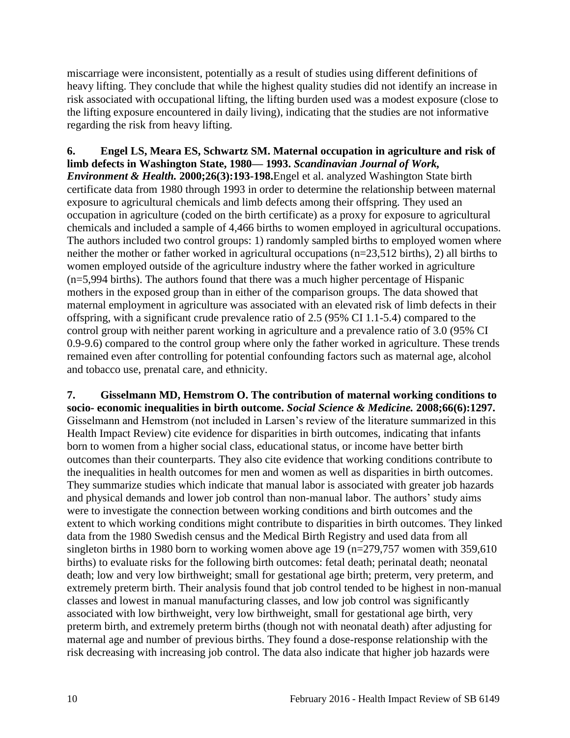miscarriage were inconsistent, potentially as a result of studies using different definitions of heavy lifting. They conclude that while the highest quality studies did not identify an increase in risk associated with occupational lifting, the lifting burden used was a modest exposure (close to the lifting exposure encountered in daily living), indicating that the studies are not informative regarding the risk from heavy lifting.

<span id="page-11-0"></span>**6. Engel LS, Meara ES, Schwartz SM. Maternal occupation in agriculture and risk of limb defects in Washington State, 1980— 1993.** *Scandinavian Journal of Work, Environment & Health.* **2000;26(3):193-198.**Engel et al. analyzed Washington State birth certificate data from 1980 through 1993 in order to determine the relationship between maternal exposure to agricultural chemicals and limb defects among their offspring. They used an occupation in agriculture (coded on the birth certificate) as a proxy for exposure to agricultural chemicals and included a sample of 4,466 births to women employed in agricultural occupations. The authors included two control groups: 1) randomly sampled births to employed women where neither the mother or father worked in agricultural occupations (n=23,512 births), 2) all births to women employed outside of the agriculture industry where the father worked in agriculture (n=5,994 births). The authors found that there was a much higher percentage of Hispanic mothers in the exposed group than in either of the comparison groups. The data showed that maternal employment in agriculture was associated with an elevated risk of limb defects in their offspring, with a significant crude prevalence ratio of 2.5 (95% CI 1.1-5.4) compared to the control group with neither parent working in agriculture and a prevalence ratio of 3.0 (95% CI 0.9-9.6) compared to the control group where only the father worked in agriculture. These trends remained even after controlling for potential confounding factors such as maternal age, alcohol and tobacco use, prenatal care, and ethnicity.

<span id="page-11-1"></span>**7. Gisselmann MD, Hemstrom O. The contribution of maternal working conditions to socio- economic inequalities in birth outcome.** *Social Science & Medicine.* **2008;66(6):1297.** Gisselmann and Hemstrom (not included in Larsen's review of the literature summarized in this Health Impact Review) cite evidence for disparities in birth outcomes, indicating that infants born to women from a higher social class, educational status, or income have better birth outcomes than their counterparts. They also cite evidence that working conditions contribute to the inequalities in health outcomes for men and women as well as disparities in birth outcomes. They summarize studies which indicate that manual labor is associated with greater job hazards and physical demands and lower job control than non-manual labor. The authors' study aims were to investigate the connection between working conditions and birth outcomes and the extent to which working conditions might contribute to disparities in birth outcomes. They linked data from the 1980 Swedish census and the Medical Birth Registry and used data from all singleton births in 1980 born to working women above age 19 ( $n=279,757$  women with 359,610 births) to evaluate risks for the following birth outcomes: fetal death; perinatal death; neonatal death; low and very low birthweight; small for gestational age birth; preterm, very preterm, and extremely preterm birth. Their analysis found that job control tended to be highest in non-manual classes and lowest in manual manufacturing classes, and low job control was significantly associated with low birthweight, very low birthweight, small for gestational age birth, very preterm birth, and extremely preterm births (though not with neonatal death) after adjusting for maternal age and number of previous births. They found a dose-response relationship with the risk decreasing with increasing job control. The data also indicate that higher job hazards were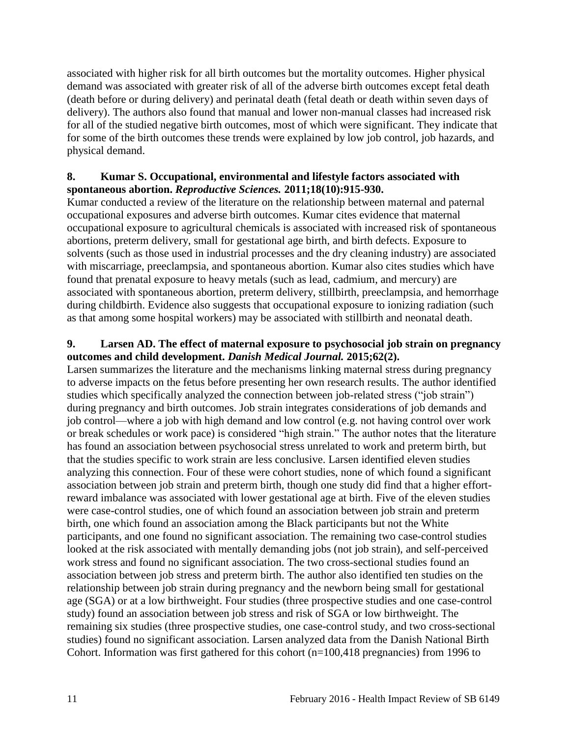associated with higher risk for all birth outcomes but the mortality outcomes. Higher physical demand was associated with greater risk of all of the adverse birth outcomes except fetal death (death before or during delivery) and perinatal death (fetal death or death within seven days of delivery). The authors also found that manual and lower non-manual classes had increased risk for all of the studied negative birth outcomes, most of which were significant. They indicate that for some of the birth outcomes these trends were explained by low job control, job hazards, and physical demand.

# <span id="page-12-1"></span>**8. Kumar S. Occupational, environmental and lifestyle factors associated with spontaneous abortion.** *Reproductive Sciences.* **2011;18(10):915-930.**

Kumar conducted a review of the literature on the relationship between maternal and paternal occupational exposures and adverse birth outcomes. Kumar cites evidence that maternal occupational exposure to agricultural chemicals is associated with increased risk of spontaneous abortions, preterm delivery, small for gestational age birth, and birth defects. Exposure to solvents (such as those used in industrial processes and the dry cleaning industry) are associated with miscarriage, preeclampsia, and spontaneous abortion. Kumar also cites studies which have found that prenatal exposure to heavy metals (such as lead, cadmium, and mercury) are associated with spontaneous abortion, preterm delivery, stillbirth, preeclampsia, and hemorrhage during childbirth. Evidence also suggests that occupational exposure to ionizing radiation (such as that among some hospital workers) may be associated with stillbirth and neonatal death.

# <span id="page-12-0"></span>**9. Larsen AD. The effect of maternal exposure to psychosocial job strain on pregnancy outcomes and child development.** *Danish Medical Journal.* **2015;62(2).**

Larsen summarizes the literature and the mechanisms linking maternal stress during pregnancy to adverse impacts on the fetus before presenting her own research results. The author identified studies which specifically analyzed the connection between job-related stress ("job strain") during pregnancy and birth outcomes. Job strain integrates considerations of job demands and job control—where a job with high demand and low control (e.g. not having control over work or break schedules or work pace) is considered "high strain." The author notes that the literature has found an association between psychosocial stress unrelated to work and preterm birth, but that the studies specific to work strain are less conclusive. Larsen identified eleven studies analyzing this connection. Four of these were cohort studies, none of which found a significant association between job strain and preterm birth, though one study did find that a higher effortreward imbalance was associated with lower gestational age at birth. Five of the eleven studies were case-control studies, one of which found an association between job strain and preterm birth, one which found an association among the Black participants but not the White participants, and one found no significant association. The remaining two case-control studies looked at the risk associated with mentally demanding jobs (not job strain), and self-perceived work stress and found no significant association. The two cross-sectional studies found an association between job stress and preterm birth. The author also identified ten studies on the relationship between job strain during pregnancy and the newborn being small for gestational age (SGA) or at a low birthweight. Four studies (three prospective studies and one case-control study) found an association between job stress and risk of SGA or low birthweight. The remaining six studies (three prospective studies, one case-control study, and two cross-sectional studies) found no significant association. Larsen analyzed data from the Danish National Birth Cohort. Information was first gathered for this cohort (n=100,418 pregnancies) from 1996 to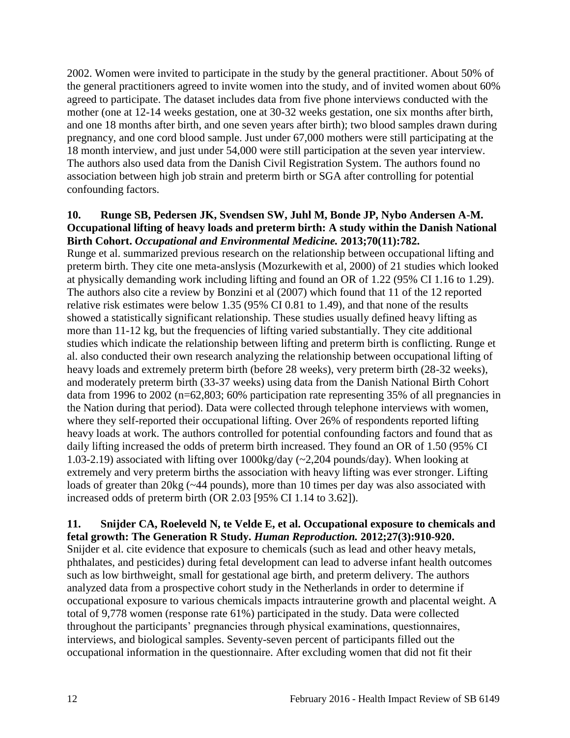2002. Women were invited to participate in the study by the general practitioner. About 50% of the general practitioners agreed to invite women into the study, and of invited women about 60% agreed to participate. The dataset includes data from five phone interviews conducted with the mother (one at 12-14 weeks gestation, one at 30-32 weeks gestation, one six months after birth, and one 18 months after birth, and one seven years after birth); two blood samples drawn during pregnancy, and one cord blood sample. Just under 67,000 mothers were still participating at the 18 month interview, and just under 54,000 were still participation at the seven year interview. The authors also used data from the Danish Civil Registration System. The authors found no association between high job strain and preterm birth or SGA after controlling for potential confounding factors.

#### <span id="page-13-1"></span>**10. Runge SB, Pedersen JK, Svendsen SW, Juhl M, Bonde JP, Nybo Andersen A-M. Occupational lifting of heavy loads and preterm birth: A study within the Danish National Birth Cohort.** *Occupational and Environmental Medicine.* **2013;70(11):782.**

Runge et al. summarized previous research on the relationship between occupational lifting and preterm birth. They cite one meta-anslysis (Mozurkewith et al, 2000) of 21 studies which looked at physically demanding work including lifting and found an OR of 1.22 (95% CI 1.16 to 1.29). The authors also cite a review by Bonzini et al (2007) which found that 11 of the 12 reported relative risk estimates were below 1.35 (95% CI 0.81 to 1.49), and that none of the results showed a statistically significant relationship. These studies usually defined heavy lifting as more than 11-12 kg, but the frequencies of lifting varied substantially. They cite additional studies which indicate the relationship between lifting and preterm birth is conflicting. Runge et al. also conducted their own research analyzing the relationship between occupational lifting of heavy loads and extremely preterm birth (before 28 weeks), very preterm birth (28-32 weeks), and moderately preterm birth (33-37 weeks) using data from the Danish National Birth Cohort data from 1996 to 2002 (n=62,803; 60% participation rate representing 35% of all pregnancies in the Nation during that period). Data were collected through telephone interviews with women, where they self-reported their occupational lifting. Over 26% of respondents reported lifting heavy loads at work. The authors controlled for potential confounding factors and found that as daily lifting increased the odds of preterm birth increased. They found an OR of 1.50 (95% CI 1.03-2.19) associated with lifting over 1000kg/day (~2,204 pounds/day). When looking at extremely and very preterm births the association with heavy lifting was ever stronger. Lifting loads of greater than 20kg (~44 pounds), more than 10 times per day was also associated with increased odds of preterm birth (OR 2.03 [95% CI 1.14 to 3.62]).

#### <span id="page-13-0"></span>**11. Snijder CA, Roeleveld N, te Velde E, et al. Occupational exposure to chemicals and fetal growth: The Generation R Study.** *Human Reproduction.* **2012;27(3):910-920.**

Snijder et al. cite evidence that exposure to chemicals (such as lead and other heavy metals, phthalates, and pesticides) during fetal development can lead to adverse infant health outcomes such as low birthweight, small for gestational age birth, and preterm delivery. The authors analyzed data from a prospective cohort study in the Netherlands in order to determine if occupational exposure to various chemicals impacts intrauterine growth and placental weight. A total of 9,778 women (response rate 61%) participated in the study. Data were collected throughout the participants' pregnancies through physical examinations, questionnaires, interviews, and biological samples. Seventy-seven percent of participants filled out the occupational information in the questionnaire. After excluding women that did not fit their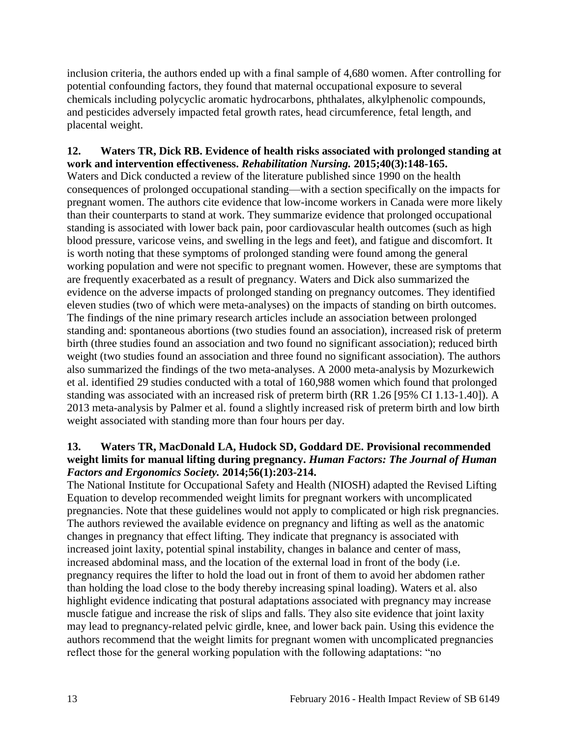inclusion criteria, the authors ended up with a final sample of 4,680 women. After controlling for potential confounding factors, they found that maternal occupational exposure to several chemicals including polycyclic aromatic hydrocarbons, phthalates, alkylphenolic compounds, and pesticides adversely impacted fetal growth rates, head circumference, fetal length, and placental weight.

# <span id="page-14-0"></span>**12. Waters TR, Dick RB. Evidence of health risks associated with prolonged standing at work and intervention effectiveness.** *Rehabilitation Nursing.* **2015;40(3):148-165.**

Waters and Dick conducted a review of the literature published since 1990 on the health consequences of prolonged occupational standing—with a section specifically on the impacts for pregnant women. The authors cite evidence that low-income workers in Canada were more likely than their counterparts to stand at work. They summarize evidence that prolonged occupational standing is associated with lower back pain, poor cardiovascular health outcomes (such as high blood pressure, varicose veins, and swelling in the legs and feet), and fatigue and discomfort. It is worth noting that these symptoms of prolonged standing were found among the general working population and were not specific to pregnant women. However, these are symptoms that are frequently exacerbated as a result of pregnancy. Waters and Dick also summarized the evidence on the adverse impacts of prolonged standing on pregnancy outcomes. They identified eleven studies (two of which were meta-analyses) on the impacts of standing on birth outcomes. The findings of the nine primary research articles include an association between prolonged standing and: spontaneous abortions (two studies found an association), increased risk of preterm birth (three studies found an association and two found no significant association); reduced birth weight (two studies found an association and three found no significant association). The authors also summarized the findings of the two meta-analyses. A 2000 meta-analysis by Mozurkewich et al. identified 29 studies conducted with a total of 160,988 women which found that prolonged standing was associated with an increased risk of preterm birth (RR 1.26 [95% CI 1.13-1.40]). A 2013 meta-analysis by Palmer et al. found a slightly increased risk of preterm birth and low birth weight associated with standing more than four hours per day.

#### <span id="page-14-1"></span>**13. Waters TR, MacDonald LA, Hudock SD, Goddard DE. Provisional recommended weight limits for manual lifting during pregnancy.** *Human Factors: The Journal of Human Factors and Ergonomics Society.* **2014;56(1):203-214.**

The National Institute for Occupational Safety and Health (NIOSH) adapted the Revised Lifting Equation to develop recommended weight limits for pregnant workers with uncomplicated pregnancies. Note that these guidelines would not apply to complicated or high risk pregnancies. The authors reviewed the available evidence on pregnancy and lifting as well as the anatomic changes in pregnancy that effect lifting. They indicate that pregnancy is associated with increased joint laxity, potential spinal instability, changes in balance and center of mass, increased abdominal mass, and the location of the external load in front of the body (i.e. pregnancy requires the lifter to hold the load out in front of them to avoid her abdomen rather than holding the load close to the body thereby increasing spinal loading). Waters et al. also highlight evidence indicating that postural adaptations associated with pregnancy may increase muscle fatigue and increase the risk of slips and falls. They also site evidence that joint laxity may lead to pregnancy-related pelvic girdle, knee, and lower back pain. Using this evidence the authors recommend that the weight limits for pregnant women with uncomplicated pregnancies reflect those for the general working population with the following adaptations: "no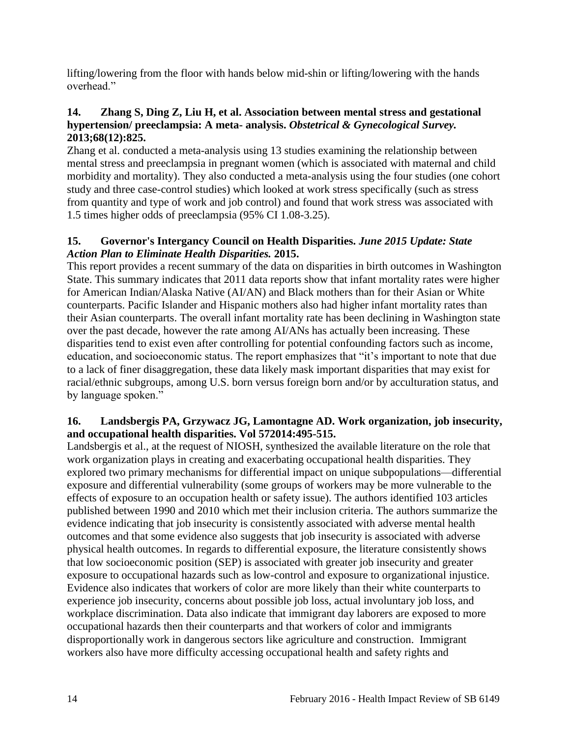lifting/lowering from the floor with hands below mid-shin or lifting/lowering with the hands overhead"

# <span id="page-15-2"></span>**14. Zhang S, Ding Z, Liu H, et al. Association between mental stress and gestational hypertension/ preeclampsia: A meta- analysis.** *Obstetrical & Gynecological Survey.*  **2013;68(12):825.**

Zhang et al. conducted a meta-analysis using 13 studies examining the relationship between mental stress and preeclampsia in pregnant women (which is associated with maternal and child morbidity and mortality). They also conducted a meta-analysis using the four studies (one cohort study and three case-control studies) which looked at work stress specifically (such as stress from quantity and type of work and job control) and found that work stress was associated with 1.5 times higher odds of preeclampsia (95% CI 1.08-3.25).

# <span id="page-15-0"></span>**15. Governor's Intergancy Council on Health Disparities.** *June 2015 Update: State Action Plan to Eliminate Health Disparities.* **2015.**

This report provides a recent summary of the data on disparities in birth outcomes in Washington State. This summary indicates that 2011 data reports show that infant mortality rates were higher for American Indian/Alaska Native (AI/AN) and Black mothers than for their Asian or White counterparts. Pacific Islander and Hispanic mothers also had higher infant mortality rates than their Asian counterparts. The overall infant mortality rate has been declining in Washington state over the past decade, however the rate among AI/ANs has actually been increasing. These disparities tend to exist even after controlling for potential confounding factors such as income, education, and socioeconomic status. The report emphasizes that "it's important to note that due to a lack of finer disaggregation, these data likely mask important disparities that may exist for racial/ethnic subgroups, among U.S. born versus foreign born and/or by acculturation status, and by language spoken."

# <span id="page-15-1"></span>**16. Landsbergis PA, Grzywacz JG, Lamontagne AD. Work organization, job insecurity, and occupational health disparities. Vol 572014:495-515.**

Landsbergis et al., at the request of NIOSH, synthesized the available literature on the role that work organization plays in creating and exacerbating occupational health disparities. They explored two primary mechanisms for differential impact on unique subpopulations—differential exposure and differential vulnerability (some groups of workers may be more vulnerable to the effects of exposure to an occupation health or safety issue). The authors identified 103 articles published between 1990 and 2010 which met their inclusion criteria. The authors summarize the evidence indicating that job insecurity is consistently associated with adverse mental health outcomes and that some evidence also suggests that job insecurity is associated with adverse physical health outcomes. In regards to differential exposure, the literature consistently shows that low socioeconomic position (SEP) is associated with greater job insecurity and greater exposure to occupational hazards such as low-control and exposure to organizational injustice. Evidence also indicates that workers of color are more likely than their white counterparts to experience job insecurity, concerns about possible job loss, actual involuntary job loss, and workplace discrimination. Data also indicate that immigrant day laborers are exposed to more occupational hazards then their counterparts and that workers of color and immigrants disproportionally work in dangerous sectors like agriculture and construction. Immigrant workers also have more difficulty accessing occupational health and safety rights and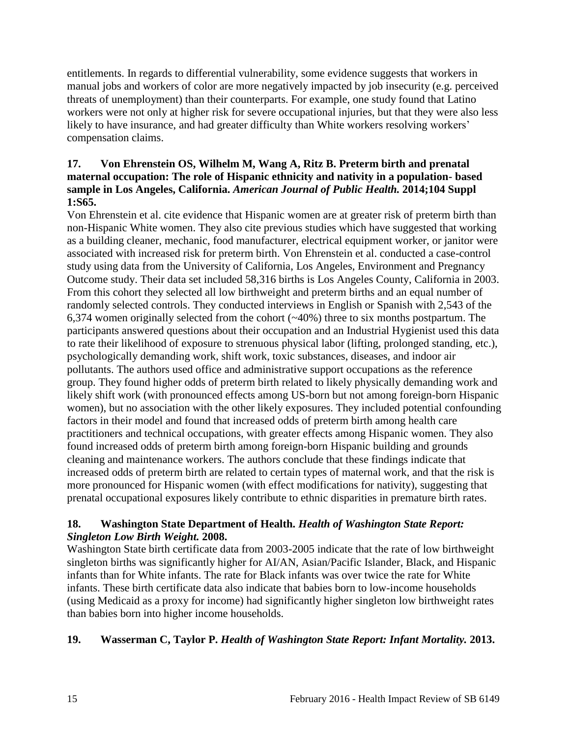entitlements. In regards to differential vulnerability, some evidence suggests that workers in manual jobs and workers of color are more negatively impacted by job insecurity (e.g. perceived threats of unemployment) than their counterparts. For example, one study found that Latino workers were not only at higher risk for severe occupational injuries, but that they were also less likely to have insurance, and had greater difficulty than White workers resolving workers' compensation claims.

# <span id="page-16-0"></span>**17. Von Ehrenstein OS, Wilhelm M, Wang A, Ritz B. Preterm birth and prenatal maternal occupation: The role of Hispanic ethnicity and nativity in a population- based sample in Los Angeles, California.** *American Journal of Public Health.* **2014;104 Suppl 1:S65.**

Von Ehrenstein et al. cite evidence that Hispanic women are at greater risk of preterm birth than non-Hispanic White women. They also cite previous studies which have suggested that working as a building cleaner, mechanic, food manufacturer, electrical equipment worker, or janitor were associated with increased risk for preterm birth. Von Ehrenstein et al. conducted a case-control study using data from the University of California, Los Angeles, Environment and Pregnancy Outcome study. Their data set included 58,316 births is Los Angeles County, California in 2003. From this cohort they selected all low birthweight and preterm births and an equal number of randomly selected controls. They conducted interviews in English or Spanish with 2,543 of the 6,374 women originally selected from the cohort  $(\sim 40\%)$  three to six months postpartum. The participants answered questions about their occupation and an Industrial Hygienist used this data to rate their likelihood of exposure to strenuous physical labor (lifting, prolonged standing, etc.), psychologically demanding work, shift work, toxic substances, diseases, and indoor air pollutants. The authors used office and administrative support occupations as the reference group. They found higher odds of preterm birth related to likely physically demanding work and likely shift work (with pronounced effects among US-born but not among foreign-born Hispanic women), but no association with the other likely exposures. They included potential confounding factors in their model and found that increased odds of preterm birth among health care practitioners and technical occupations, with greater effects among Hispanic women. They also found increased odds of preterm birth among foreign-born Hispanic building and grounds cleaning and maintenance workers. The authors conclude that these findings indicate that increased odds of preterm birth are related to certain types of maternal work, and that the risk is more pronounced for Hispanic women (with effect modifications for nativity), suggesting that prenatal occupational exposures likely contribute to ethnic disparities in premature birth rates.

# **18. Washington State Department of Health.** *Health of Washington State Report: Singleton Low Birth Weight.* **2008.**

Washington State birth certificate data from 2003-2005 indicate that the rate of low birthweight singleton births was significantly higher for AI/AN, Asian/Pacific Islander, Black, and Hispanic infants than for White infants. The rate for Black infants was over twice the rate for White infants. These birth certificate data also indicate that babies born to low-income households (using Medicaid as a proxy for income) had significantly higher singleton low birthweight rates than babies born into higher income households.

# **19. Wasserman C, Taylor P.** *Health of Washington State Report: Infant Mortality.* **2013.**